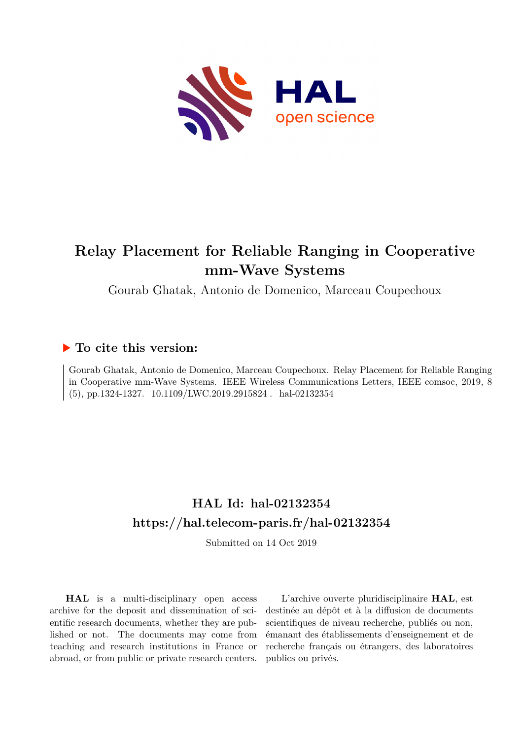

## **Relay Placement for Reliable Ranging in Cooperative mm-Wave Systems**

Gourab Ghatak, Antonio de Domenico, Marceau Coupechoux

### **To cite this version:**

Gourab Ghatak, Antonio de Domenico, Marceau Coupechoux. Relay Placement for Reliable Ranging in Cooperative mm-Wave Systems. IEEE Wireless Communications Letters, IEEE comsoc, 2019, 8  $(5)$ , pp.1324-1327. 10.1109/LWC.2019.2915824 . hal-02132354

## **HAL Id: hal-02132354 <https://hal.telecom-paris.fr/hal-02132354>**

Submitted on 14 Oct 2019

**HAL** is a multi-disciplinary open access archive for the deposit and dissemination of scientific research documents, whether they are published or not. The documents may come from teaching and research institutions in France or abroad, or from public or private research centers.

L'archive ouverte pluridisciplinaire **HAL**, est destinée au dépôt et à la diffusion de documents scientifiques de niveau recherche, publiés ou non, émanant des établissements d'enseignement et de recherche français ou étrangers, des laboratoires publics ou privés.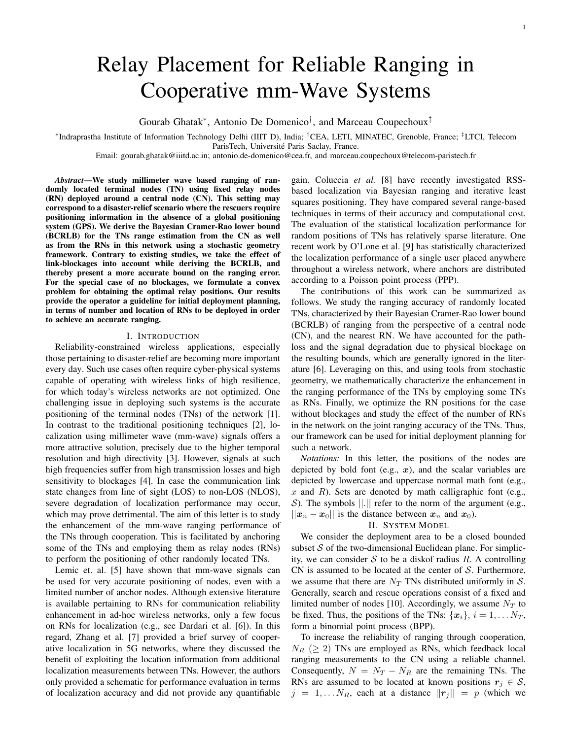# Relay Placement for Reliable Ranging in Cooperative mm-Wave Systems

Gourab Ghatak<sup>\*</sup>, Antonio De Domenico<sup>†</sup>, and Marceau Coupechoux<sup>‡</sup>

∗ Indraprastha Institute of Information Technology Delhi (IIIT D), India; †CEA, LETI, MINATEC, Grenoble, France; ‡LTCI, Telecom ParisTech, Université Paris Saclay, France.

Email: gourab.ghatak@iiitd.ac.in; antonio.de-domenico@cea.fr, and marceau.coupechoux@telecom-paristech.fr

*Abstract*—We study millimeter wave based ranging of randomly located terminal nodes (TN) using fixed relay nodes (RN) deployed around a central node (CN). This setting may correspond to a disaster-relief scenario where the rescuers require positioning information in the absence of a global positioning system (GPS). We derive the Bayesian Cramer-Rao lower bound (BCRLB) for the TNs range estimation from the CN as well as from the RNs in this network using a stochastic geometry framework. Contrary to existing studies, we take the effect of link-blockages into account while deriving the BCRLB, and thereby present a more accurate bound on the ranging error. For the special case of no blockages, we formulate a convex problem for obtaining the optimal relay positions. Our results provide the operator a guideline for initial deployment planning, in terms of number and location of RNs to be deployed in order to achieve an accurate ranging.

#### I. INTRODUCTION

Reliability-constrained wireless applications, especially those pertaining to disaster-relief are becoming more important every day. Such use cases often require cyber-physical systems capable of operating with wireless links of high resilience, for which today's wireless networks are not optimized. One challenging issue in deploying such systems is the accurate positioning of the terminal nodes (TNs) of the network [1]. In contrast to the traditional positioning techniques [2], localization using millimeter wave (mm-wave) signals offers a more attractive solution, precisely due to the higher temporal resolution and high directivity [3]. However, signals at such high frequencies suffer from high transmission losses and high sensitivity to blockages [4]. In case the communication link state changes from line of sight (LOS) to non-LOS (NLOS), severe degradation of localization performance may occur, which may prove detrimental. The aim of this letter is to study the enhancement of the mm-wave ranging performance of the TNs through cooperation. This is facilitated by anchoring some of the TNs and employing them as relay nodes (RNs) to perform the positioning of other randomly located TNs.

Lemic et. al. [5] have shown that mm-wave signals can be used for very accurate positioning of nodes, even with a limited number of anchor nodes. Although extensive literature is available pertaining to RNs for communication reliability enhancement in ad-hoc wireless networks, only a few focus on RNs for localization (e.g., see Dardari et al. [6]). In this regard, Zhang et al. [7] provided a brief survey of cooperative localization in 5G networks, where they discussed the benefit of exploiting the location information from additional localization measurements between TNs. However, the authors only provided a schematic for performance evaluation in terms of localization accuracy and did not provide any quantifiable gain. Coluccia *et al.* [8] have recently investigated RSSbased localization via Bayesian ranging and iterative least squares positioning. They have compared several range-based techniques in terms of their accuracy and computational cost. The evaluation of the statistical localization performance for random positions of TNs has relatively sparse literature. One recent work by O'Lone et al. [9] has statistically characterized the localization performance of a single user placed anywhere throughout a wireless network, where anchors are distributed according to a Poisson point process (PPP).

The contributions of this work can be summarized as follows. We study the ranging accuracy of randomly located TNs, characterized by their Bayesian Cramer-Rao lower bound (BCRLB) of ranging from the perspective of a central node (CN), and the nearest RN. We have accounted for the pathloss and the signal degradation due to physical blockage on the resulting bounds, which are generally ignored in the literature [6]. Leveraging on this, and using tools from stochastic geometry, we mathematically characterize the enhancement in the ranging performance of the TNs by employing some TNs as RNs. Finally, we optimize the RN positions for the case without blockages and study the effect of the number of RNs in the network on the joint ranging accuracy of the TNs. Thus, our framework can be used for initial deployment planning for such a network.

*Notations:* In this letter, the positions of the nodes are depicted by bold font (e.g.,  $x$ ), and the scalar variables are depicted by lowercase and uppercase normal math font (e.g.,  $x$  and  $R$ ). Sets are denoted by math calligraphic font (e.g., S). The symbols  $\Vert . \Vert$  refer to the norm of the argument (e.g.,  $||x_n - x_0||$  is the distance between  $x_n$  and  $x_0$ ).

#### II. SYSTEM MODEL

We consider the deployment area to be a closed bounded subset  $S$  of the two-dimensional Euclidean plane. For simplicity, we can consider S to be a diskof radius R. A controlling CN is assumed to be located at the center of  $S$ . Furthermore, we assume that there are  $N_T$  TNs distributed uniformly in S. Generally, search and rescue operations consist of a fixed and limited number of nodes [10]. Accordingly, we assume  $N_T$  to be fixed. Thus, the positions of the TNs:  $\{x_i\}, i = 1, \ldots N_T$ , form a binomial point process (BPP).

To increase the reliability of ranging through cooperation,  $N_R$  ( $\geq$  2) TNs are employed as RNs, which feedback local ranging measurements to the CN using a reliable channel. Consequently,  $N = N_T - N_R$  are the remaining TNs. The RNs are assumed to be located at known positions  $r_j \in S$ ,  $j = 1, \ldots N_R$ , each at a distance  $||\mathbf{r}_j|| = p$  (which we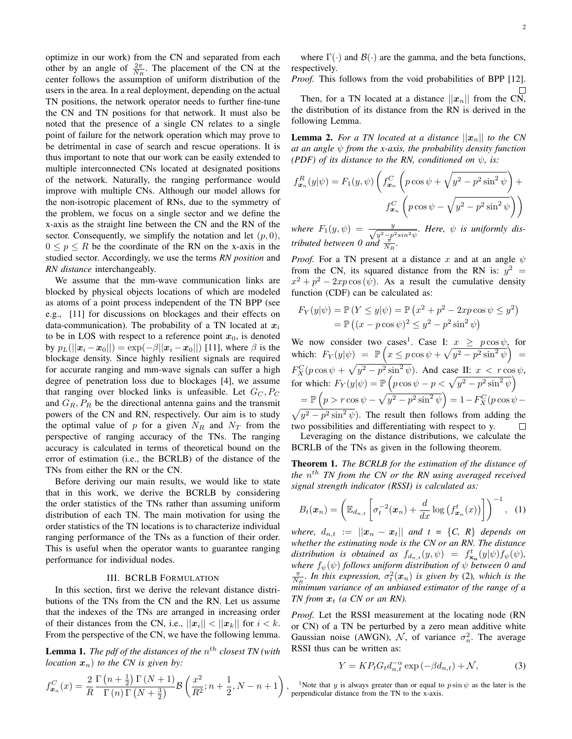optimize in our work) from the CN and separated from each other by an angle of  $\frac{2\pi}{N_R}$ . The placement of the CN at the center follows the assumption of uniform distribution of the users in the area. In a real deployment, depending on the actual TN positions, the network operator needs to further fine-tune the CN and TN positions for that network. It must also be noted that the presence of a single CN relates to a single point of failure for the network operation which may prove to be detrimental in case of search and rescue operations. It is thus important to note that our work can be easily extended to multiple interconnected CNs located at designated positions of the network. Naturally, the ranging performance would improve with multiple CNs. Although our model allows for the non-isotropic placement of RNs, due to the symmetry of the problem, we focus on a single sector and we define the x-axis as the straight line between the CN and the RN of the sector. Consequently, we simplify the notation and let  $(p, 0)$ ,  $0 \le p \le R$  be the coordinate of the RN on the x-axis in the studied sector. Accordingly, we use the terms *RN position* and *RN distance* interchangeably.

We assume that the mm-wave communication links are blocked by physical objects locations of which are modeled as atoms of a point process independent of the TN BPP (see e.g., [11] for discussions on blockages and their effects on data-communication). The probability of a TN located at  $x_i$ to be in LOS with respect to a reference point  $x_0$ , is denoted by  $p_L(||x_i - x_0||) = \exp(-\beta ||x_i - x_0||)$  [11], where  $\beta$  is the blockage density. Since highly resilient signals are required for accurate ranging and mm-wave signals can suffer a high degree of penetration loss due to blockages [4], we assume that ranging over blocked links is unfeasible. Let  $G_C, P_C$ and  $G_R$ ,  $P_R$  be the directional antenna gains and the transmit powers of the CN and RN, respectively. Our aim is to study the optimal value of p for a given  $N_R$  and  $N_T$  from the perspective of ranging accuracy of the TNs. The ranging accuracy is calculated in terms of theoretical bound on the error of estimation (i.e., the BCRLB) of the distance of the TNs from either the RN or the CN.

Before deriving our main results, we would like to state that in this work, we derive the BCRLB by considering the order statistics of the TNs rather than assuming uniform distribution of each TN. The main motivation for using the order statistics of the TN locations is to characterize individual ranging performance of the TNs as a function of their order. This is useful when the operator wants to guarantee ranging performance for individual nodes.

#### III. BCRLB FORMULATION

In this section, first we derive the relevant distance distributions of the TNs from the CN and the RN. Let us assume that the indexes of the TNs are arranged in increasing order of their distances from the CN, i.e.,  $||x_i|| < ||x_k||$  for  $i < k$ . From the perspective of the CN, we have the following lemma.

**Lemma 1.** The pdf of the distances of the  $n^{th}$  closest TN (with *location*  $x_n$ *) to the CN is given by:* 

$$
f_{\boldsymbol{x}_n}^C(x) = \frac{2}{R} \frac{\Gamma\left(n + \frac{1}{2}\right) \Gamma\left(N + 1\right)}{\Gamma\left(n\right) \Gamma\left(N + \frac{3}{2}\right)} \mathcal{B}\left(\frac{x^2}{R^2}; n + \frac{1}{2}, N - n + 1\right)
$$

2

where  $\Gamma(\cdot)$  and  $\mathcal{B}(\cdot)$  are the gamma, and the beta functions, respectively.

*Proof.* This follows from the void probabilities of BPP [12].

Then, for a TN located at a distance  $||x_n||$  from the CN, the distribution of its distance from the RN is derived in the following Lemma.

**Lemma 2.** For a TN located at a distance  $||x_n||$  to the CN *at an angle* ψ *from the x-axis, the probability density function (PDF) of its distance to the RN, conditioned on*  $\psi$ *, is:* 

$$
f_{\boldsymbol{x}_n}^R(y|\psi) = F_1(y,\psi) \left( f_{\boldsymbol{x}_n}^C \left( p \cos \psi + \sqrt{y^2 - p^2 \sin^2 \psi} \right) + f_{\boldsymbol{x}_n}^C \left( p \cos \psi - \sqrt{y^2 - p^2 \sin^2 \psi} \right) \right)
$$

where  $F_1(y, \psi) = \frac{y}{\sqrt{y^2 - p^2 \sin^2 \psi}}$ . Here,  $\psi$  is uniformly dis*tributed between* 0 and  $\frac{\pi}{N_R}$ .

*Proof.* For a TN present at a distance x and at an angle  $\psi$ from the CN, its squared distance from the RN is:  $y^2 =$  $x^2 + p^2 - 2xp \cos{(\psi)}$ . As a result the cumulative density function (CDF) can be calculated as:

$$
F_Y(y|\psi) = \mathbb{P}(Y \le y|\psi) = \mathbb{P}(x^2 + p^2 - 2xp\cos\psi \le y^2)
$$
  
=  $\mathbb{P}((x - p\cos\psi)^2 \le y^2 - p^2\sin^2\psi)$ 

We now consider two cases<sup>1</sup>. Case I:  $x \geq p \cos \psi$ , for which:  $F_Y(y|\psi) = \mathbb{P}\left(x \leq p\cos\psi + \sqrt{y^2 - p^2\sin^2\psi}\right) =$  $F_X^C(p\cos\psi+\sqrt{y^2-p^2\sin^2\psi})$ . And case II:  $x < r\cos\psi$ , for which:  $F_Y(y|\psi) = \mathbb{P}\left(p \cos \psi - p < \sqrt{y^2 - p^2 \sin^2 \psi}\right)$  $\mathbb{P}\left(p > r \cos \psi - \sqrt{y^2 - p^2 \sin^2 \psi}\right) = 1 - F_X^C(p \cos \psi -$ 

 $\sqrt{y^2 - p^2 \sin^2 \psi}$ . The result then follows from adding the two possibilities and differentiating with respect to y.  $\Box$ 

Leveraging on the distance distributions, we calculate the BCRLB of the TNs as given in the following theorem.

Theorem 1. *The BCRLB for the estimation of the distance of the*  $n^{th}$  *TN from the CN or the RN using averaged received signal strength indicator (RSSI) is calculated as:*

$$
B_t(\boldsymbol{x}_n) = \left(\mathbb{E}_{d_{n,t}}\left[\sigma_t^{-2}(\boldsymbol{x}_n) + \frac{d}{dx}\log\left(f_{\boldsymbol{x}_n}^t(x)\right)\right]\right)^{-1}, \quad (1)
$$

*where,*  $d_{n,t} := ||x_n - x_t||$  and  $t = \{C, R\}$  depends on *whether the estimating node is the CN or an RN. The distance* distribution is obtained as  $f_{d_{n,t}}(y,\psi) = f_{\mathbf{x}_n}^t(y|\psi) f_{\psi}(\psi)$ , *where*  $f_{\psi}(\psi)$  *follows uniform distribution of*  $\psi$  *between* 0 and  $\frac{\pi}{N_R}$ . In this expression,  $\sigma_t^2(\mathbf{x}_n)$  is given by (2)*, which is the minimum variance of an unbiased estimator of the range of a TN* from  $x_t$  (a CN or an RN).

*Proof.* Let the RSSI measurement at the locating node (RN or CN) of a TN be perturbed by a zero mean additive white Gaussian noise (AWGN),  $\mathcal{N}$ , of variance  $\sigma_n^2$ . The average RSSI thus can be written as:

$$
Y = KP_t G_t d_{n,t}^{-\alpha} \exp\left(-\beta d_{n,t}\right) + \mathcal{N},\tag{3}
$$

<sup>1</sup>Note that y is always greater than or equal to  $p \sin \psi$  as the later is the perpendicular distance from the TN to the x-axis.

,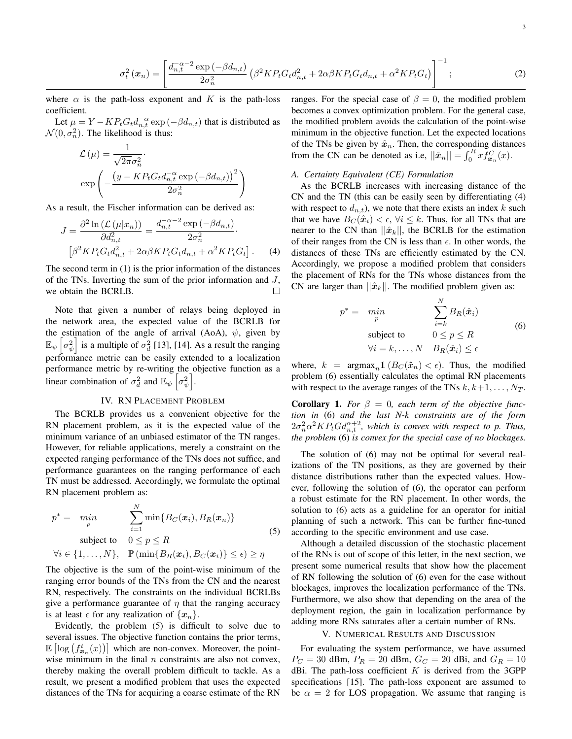$$
\sigma_t^2(\bm{x}_n) = \left[ \frac{d_{n,t}^{-\alpha-2} \exp(-\beta d_{n,t})}{2\sigma_n^2} \left( \beta^2 K P_t G_t d_{n,t}^2 + 2\alpha \beta K P_t G_t d_{n,t} + \alpha^2 K P_t G_t \right) \right]^{-1};
$$
\n(2)

where  $\alpha$  is the path-loss exponent and K is the path-loss coefficient.

Let  $\mu = Y - KP_t G_t d_{n,t}^{-\alpha} \exp(-\beta d_{n,t})$  that is distributed as  $\mathcal{N}(0, \sigma_n^2)$ . The likelihood is thus:

$$
\mathcal{L}(\mu) = \frac{1}{\sqrt{2\pi}\sigma_n^2}.
$$

$$
\exp\left(-\frac{\left(y - KP_tG_td_{n,t}^{-\alpha}\exp\left(-\beta d_{n,t}\right)\right)^2}{2\sigma_n^2}\right)
$$

As a result, the Fischer information can be derived as:

$$
J = \frac{\partial^2 \ln \left( \mathcal{L}(\mu | x_n) \right)}{\partial d_{n,t}^2} = \frac{d_{n,t}^{-\alpha - 2} \exp \left( -\beta d_{n,t} \right)}{2\sigma_n^2} \cdot \left[ \beta^2 K P_t G_t d_{n,t}^2 + 2\alpha \beta K P_t G_t d_{n,t} + \alpha^2 K P_t G_t \right]. \tag{4}
$$

The second term in (1) is the prior information of the distances of the TNs. Inverting the sum of the prior information and  $J$ , we obtain the BCRLB. П

Note that given a number of relays being deployed in the network area, the expected value of the BCRLB for the estimation of the angle of arrival (AoA),  $\psi$ , given by  $\mathbb{E}_{\psi} \left[ \sigma_{\psi}^2 \right]$  is a multiple of  $\sigma_d^2$  [13], [14]. As a result the ranging performance metric can be easily extended to a localization performance metric by re-writing the objective function as a linear combination of  $\sigma_d^2$  and  $\mathbb{E}_{\psi} \left[ \sigma_{\psi}^2 \right]$ .

#### IV. RN PLACEMENT PROBLEM

The BCRLB provides us a convenient objective for the RN placement problem, as it is the expected value of the minimum variance of an unbiased estimator of the TN ranges. However, for reliable applications, merely a constraint on the expected ranging performance of the TNs does not suffice, and performance guarantees on the ranging performance of each TN must be addressed. Accordingly, we formulate the optimal RN placement problem as:

$$
p^* = \min_{p} \sum_{i=1}^{N} \min\{B_C(\boldsymbol{x}_i), B_R(\boldsymbol{x}_n)\}
$$
  
subject to  $0 \le p \le R$   

$$
\forall i \in \{1, ..., N\}, \quad \mathbb{P}(\min\{B_R(\boldsymbol{x}_i), B_C(\boldsymbol{x}_i)\} \le \epsilon) \ge \eta
$$
 (5)

The objective is the sum of the point-wise minimum of the ranging error bounds of the TNs from the CN and the nearest RN, respectively. The constraints on the individual BCRLBs give a performance guarantee of  $\eta$  that the ranging accuracy is at least  $\epsilon$  for any realization of  $\{x_n\}$ .

Evidently, the problem (5) is difficult to solve due to several issues. The objective function contains the prior terms,  $\mathbb{E}\left[\log\left(f_{\bm{x}_n}^t(x)\right)\right]$  which are non-convex. Moreover, the pointwise minimum in the final  $n$  constraints are also not convex, thereby making the overall problem difficult to tackle. As a result, we present a modified problem that uses the expected distances of the TNs for acquiring a coarse estimate of the RN ranges. For the special case of  $\beta = 0$ , the modified problem becomes a convex optimization problem. For the general case, the modified problem avoids the calculation of the point-wise minimum in the objective function. Let the expected locations of the TNs be given by  $\hat{x}_n$ . Then, the corresponding distances from the CN can be denoted as i.e,  $||\hat{\boldsymbol{x}}_n|| = \int_0^R x \tilde{f}_{\boldsymbol{x}_n}^C(x)$ .

#### *A. Certainty Equivalent (CE) Formulation*

As the BCRLB increases with increasing distance of the CN and the TN (this can be easily seen by differentiating (4) with respect to  $d_{n,t}$ ), we note that there exists an index k such that we have  $B_C(\hat{x}_i) < \epsilon$ ,  $\forall i \leq k$ . Thus, for all TNs that are nearer to the CN than  $||\hat{x}_k||$ , the BCRLB for the estimation of their ranges from the CN is less than  $\epsilon$ . In other words, the distances of these TNs are efficiently estimated by the CN. Accordingly, we propose a modified problem that considers the placement of RNs for the TNs whose distances from the CN are larger than  $||\hat{x}_k||$ . The modified problem given as:

$$
p^* = \min_{p} \sum_{i=k}^{N} B_R(\hat{x}_i)
$$
  
subject to  $0 \le p \le R$   

$$
\forall i = k, ..., N \quad B_R(\hat{x}_i) \le \epsilon
$$
 (6)

where,  $k = \argmax_{n} 1(B_C(\hat{x}_n) < \epsilon)$ . Thus, the modified problem (6) essentially calculates the optimal RN placements with respect to the average ranges of the TNs  $k, k+1, \ldots, N_T$ .

**Corollary 1.** For  $\beta = 0$ , each term of the objective func*tion in* (6) *and the last N-k constraints are of the form*  $2\sigma_n^2 \alpha^2 K P_t G d_{n,t}^{\alpha+2}$ , which is convex with respect to p. Thus, *the problem* (6) *is convex for the special case of no blockages.*

The solution of (6) may not be optimal for several realizations of the TN positions, as they are governed by their distance distributions rather than the expected values. However, following the solution of (6), the operator can perform a robust estimate for the RN placement. In other words, the solution to (6) acts as a guideline for an operator for initial planning of such a network. This can be further fine-tuned according to the specific environment and use case.

Although a detailed discussion of the stochastic placement of the RNs is out of scope of this letter, in the next section, we present some numerical results that show how the placement of RN following the solution of (6) even for the case without blockages, improves the localization performance of the TNs. Furthermore, we also show that depending on the area of the deployment region, the gain in localization performance by adding more RNs saturates after a certain number of RNs.

#### V. NUMERICAL RESULTS AND DISCUSSION

For evaluating the system performance, we have assumed  $P_C = 30$  dBm,  $P_R = 20$  dBm,  $G_C = 20$  dBi, and  $G_R = 10$ dBi. The path-loss coefficient  $K$  is derived from the 3GPP specifications [15]. The path-loss exponent are assumed to be  $\alpha = 2$  for LOS propagation. We assume that ranging is